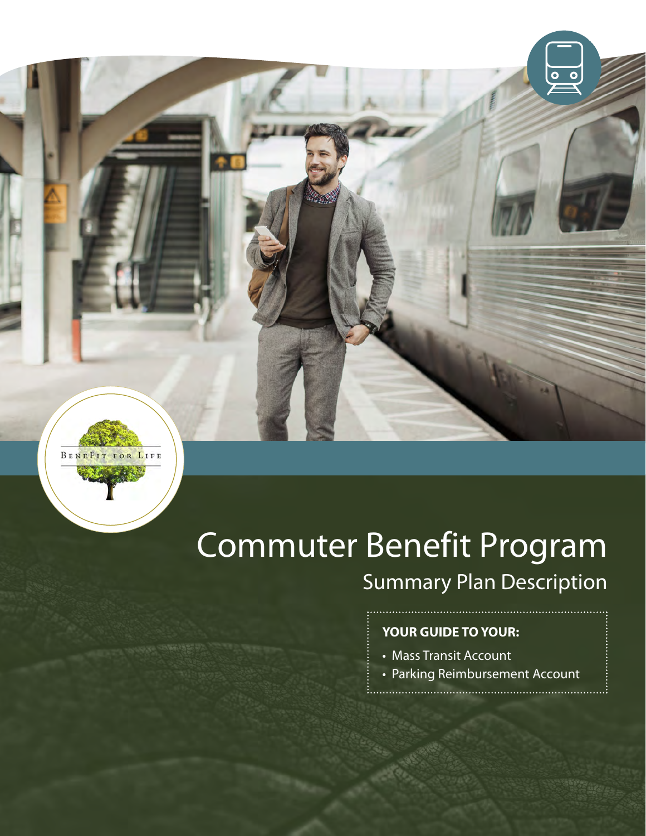

# Commuter Benefit Program Summary Plan Description

### **YOUR GUIDE TO YOUR:**

- Mass Transit Account
- Parking Reimbursement Account

 $\overline{\circ}$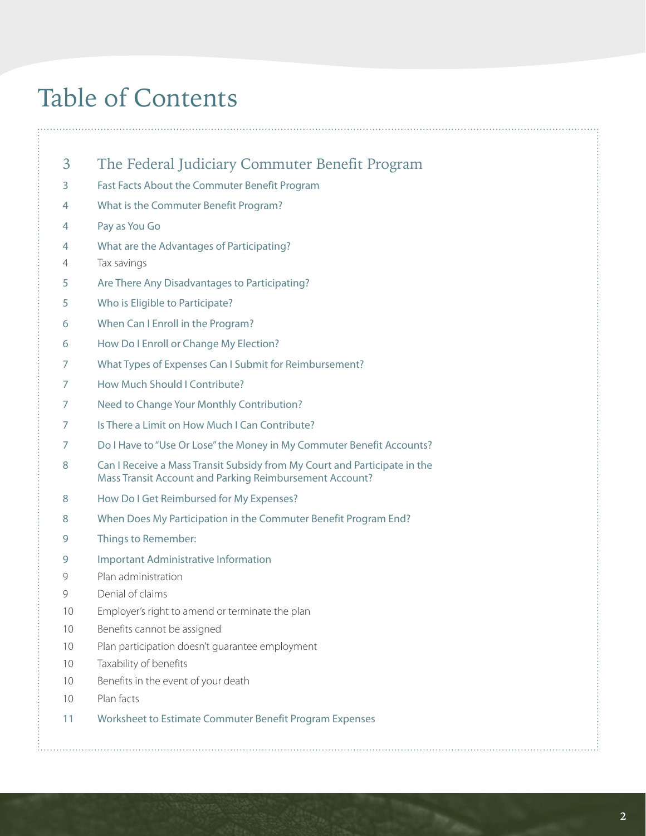# Table of Contents

- [3 The Federal Judiciary Commuter Benefit Program](#page-2-0)
- [3 Fast Facts About the Commuter Benefit Program](#page-2-0)
- [4 What is the Commuter Benefit Program?](#page-3-0)
- [4 Pay as You Go](#page-3-0)
- [4 What are the Advantages of Participating?](#page-3-0)
- [4 Tax savings](#page-3-0)
- [5 Are There Any Disadvantages to Participating?](#page-4-0)
- [5 Who is Eligible to Participate?](#page-4-0)
- [6 When Can I Enroll in the Program?](#page-5-0)
- [6 How Do I Enroll or Change My Election?](#page-5-0)
- [7 What Types of Expenses Can I Submit for Reimbursement?](#page-6-0)
- [7 How Much Should I Contribute?](#page-6-0)
- [7 Need to Change Your Monthly Contribution?](#page-6-0)
- [7 Is There a Limit on How Much I Can Contribute?](#page-6-0)
- [7 Do I Have to "Use Or Lose" the Money in My Commuter Benefit Accounts?](#page-6-0)
- [8](#page-7-0) Can I Receive a Mass Transit Subsidy from My Court and Participate in the Mass Transit Account and Parking Reimbursement Account?
- [8 How Do I Get Reimbursed for My Expenses?](#page-7-0)
- [8 When Does My Participation in the Commuter Benefit Program End?](#page-7-0)
- [9 Things to Remember:](#page-8-0)
- [9 Important Administrative Information](#page-8-0)
- [9 Plan administration](#page-8-0)
- [9 Denial of claims](#page-8-0)
- [10 Employer's right to amend or terminate the plan](#page-9-0)
- [10 Benefits cannot be assigned](#page-9-0)
- [10 Plan participation doesn't guarantee employment](#page-9-0)
- [10 Taxability of benefits](#page-9-0)
- [10 Benefits in the event of your death](#page-9-0)
- [10 Plan facts](#page-9-0)
- [11 Worksheet to Estimate Commuter Benefit Program Expenses](#page-10-0)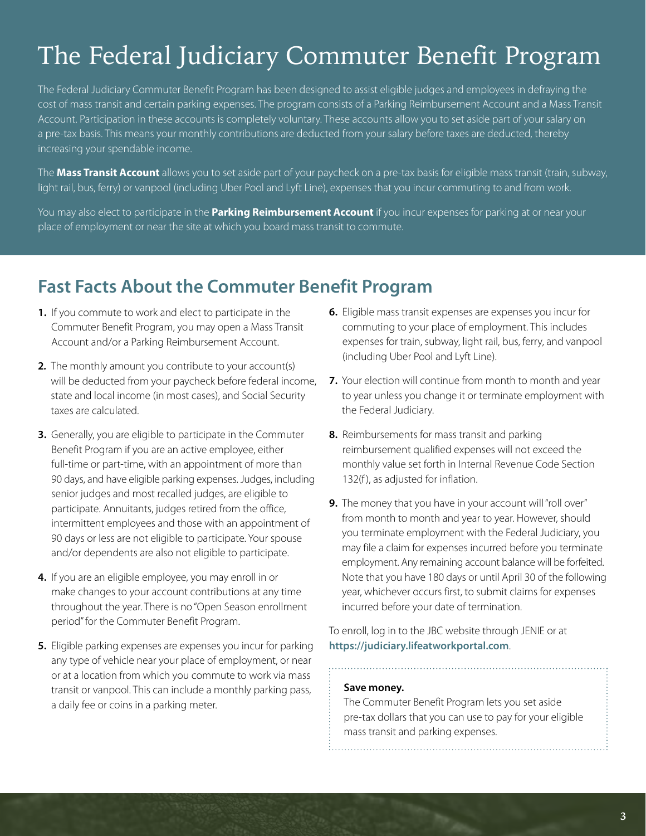# <span id="page-2-0"></span>The Federal Judiciary Commuter Benefit Program

The Federal Judiciary Commuter Benefit Program has been designed to assist eligible judges and employees in defraying the cost of mass transit and certain parking expenses. The program consists of a Parking Reimbursement Account and a Mass Transit Account. Participation in these accounts is completely voluntary. These accounts allow you to set aside part of your salary on a pre-tax basis. This means your monthly contributions are deducted from your salary before taxes are deducted, thereby increasing your spendable income.

The **Mass Transit Account** allows you to set aside part of your paycheck on a pre-tax basis for eligible mass transit (train, subway, light rail, bus, ferry) or vanpool (including Uber Pool and Lyft Line), expenses that you incur commuting to and from work.

You may also elect to participate in the **Parking Reimbursement Account** if you incur expenses for parking at or near your place of employment or near the site at which you board mass transit to commute.

# **Fast Facts About the Commuter Benefit Program**

- **1.** If you commute to work and elect to participate in the Commuter Benefit Program, you may open a Mass Transit Account and/or a Parking Reimbursement Account.
- **2***.* The monthly amount you contribute to your account(s) will be deducted from your paycheck before federal income, state and local income (in most cases), and Social Security taxes are calculated.
- **3.** Generally, you are eligible to participate in the Commuter Benefit Program if you are an active employee, either full-time or part-time, with an appointment of more than 90 days, and have eligible parking expenses. Judges, including senior judges and most recalled judges, are eligible to participate. Annuitants, judges retired from the office, intermittent employees and those with an appointment of 90 days or less are not eligible to participate. Your spouse and/or dependents are also not eligible to participate.
- **4.** If you are an eligible employee, you may enroll in or make changes to your account contributions at any time throughout the year. There is no "Open Season enrollment period" for the Commuter Benefit Program.
- **5.** Eligible parking expenses are expenses you incur for parking any type of vehicle near your place of employment, or near or at a location from which you commute to work via mass transit or vanpool. This can include a monthly parking pass, a daily fee or coins in a parking meter.
- **6.** Eligible mass transit expenses are expenses you incur for commuting to your place of employment. This includes expenses for train, subway, light rail, bus, ferry, and vanpool (including Uber Pool and Lyft Line).
- **7.** Your election will continue from month to month and year to year unless you change it or terminate employment with the Federal Judiciary.
- **8.** Reimbursements for mass transit and parking reimbursement qualified expenses will not exceed the monthly value set forth in Internal Revenue Code Section 132(f), as adjusted for inflation.
- **9.** The money that you have in your account will "roll over" from month to month and year to year. However, should you terminate employment with the Federal Judiciary, you may file a claim for expenses incurred before you terminate employment. Any remaining account balance will be forfeited. Note that you have 180 days or until April 30 of the following year, whichever occurs first, to submit claims for expenses incurred before your date of termination.

To enroll, log in to the JBC website through JENIE or at **<https://judiciary.lifeatworkportal.com>**.

#### **Save money.**

The Commuter Benefit Program lets you set aside pre-tax dollars that you can use to pay for your eligible mass transit and parking expenses.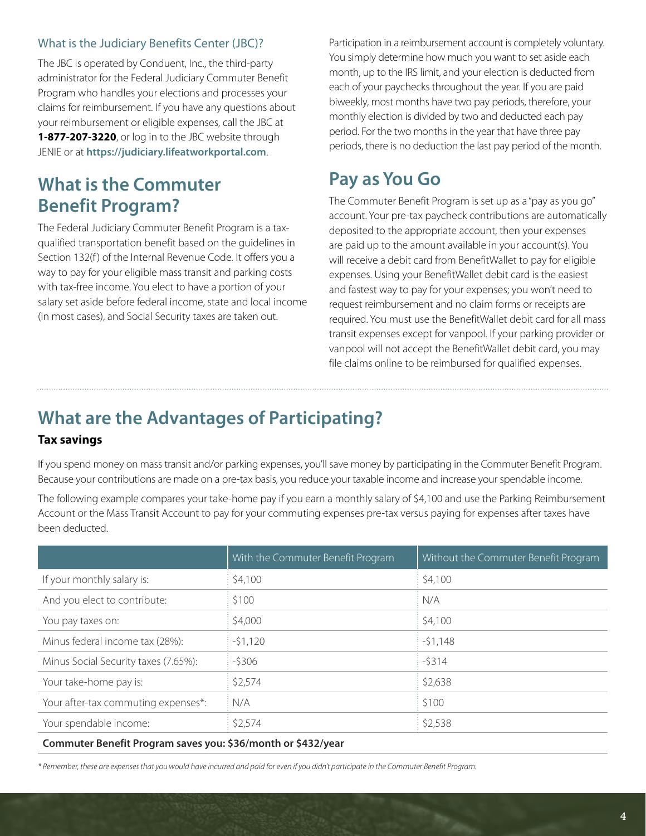### <span id="page-3-0"></span>What is the Judiciary Benefits Center (JBC)?

The JBC is operated by Conduent, Inc., the third-party administrator for the Federal Judiciary Commuter Benefit Program who handles your elections and processes your claims for reimbursement. If you have any questions about your reimbursement or eligible expenses, call the JBC at **1-877-207-3220**, or log in to the JBC website through JENIE or at **<https://judiciary.lifeatworkportal.com>**.

## **What is the Commuter Benefit Program?**

The Federal Judiciary Commuter Benefit Program is a taxqualified transportation benefit based on the guidelines in Section 132(f) of the Internal Revenue Code. It offers you a way to pay for your eligible mass transit and parking costs with tax-free income. You elect to have a portion of your salary set aside before federal income, state and local income (in most cases), and Social Security taxes are taken out.

Participation in a reimbursement account is completely voluntary. You simply determine how much you want to set aside each month, up to the IRS limit, and your election is deducted from each of your paychecks throughout the year. If you are paid biweekly, most months have two pay periods, therefore, your monthly election is divided by two and deducted each pay period. For the two months in the year that have three pay periods, there is no deduction the last pay period of the month.

# **Pay as You Go**

The Commuter Benefit Program is set up as a "pay as you go" account. Your pre-tax paycheck contributions are automatically deposited to the appropriate account, then your expenses are paid up to the amount available in your account(s). You will receive a debit card from BenefitWallet to pay for eligible expenses. Using your BenefitWallet debit card is the easiest and fastest way to pay for your expenses; you won't need to request reimbursement and no claim forms or receipts are required. You must use the BenefitWallet debit card for all mass transit expenses except for vanpool. If your parking provider or vanpool will not accept the BenefitWallet debit card, you may file claims online to be reimbursed for qualified expenses.

# **What are the Advantages of Participating?**

### **Tax savings**

If you spend money on mass transit and/or parking expenses, you'll save money by participating in the Commuter Benefit Program. Because your contributions are made on a pre-tax basis, you reduce your taxable income and increase your spendable income.

The following example compares your take-home pay if you earn a monthly salary of \$4,100 and use the Parking Reimbursement Account or the Mass Transit Account to pay for your commuting expenses pre-tax versus paying for expenses after taxes have been deducted.

|                                      | With the Commuter Benefit Program | Without the Commuter Benefit Program |
|--------------------------------------|-----------------------------------|--------------------------------------|
| If your monthly salary is:           | \$4,100                           | \$4,100                              |
| And you elect to contribute:         | \$100                             | N/A                                  |
| You pay taxes on:                    | \$4,000                           | \$4,100                              |
| Minus federal income tax (28%):      | $-51,120$                         | $-51,148$                            |
| Minus Social Security taxes (7.65%): | $-5306$                           | $-5314$                              |
| Your take-home pay is:               | \$2,574                           | \$2,638                              |
| Your after-tax commuting expenses*:  | N/A                               | \$100                                |
| Your spendable income:               | \$2,574                           | \$2,538                              |
|                                      |                                   |                                      |

**Commuter Benefit Program saves you: \$36/month or \$432/year**

*\* Remember, these are expenses that you would have incurred and paid for even if you didn't participate in the Commuter Benefit Program.*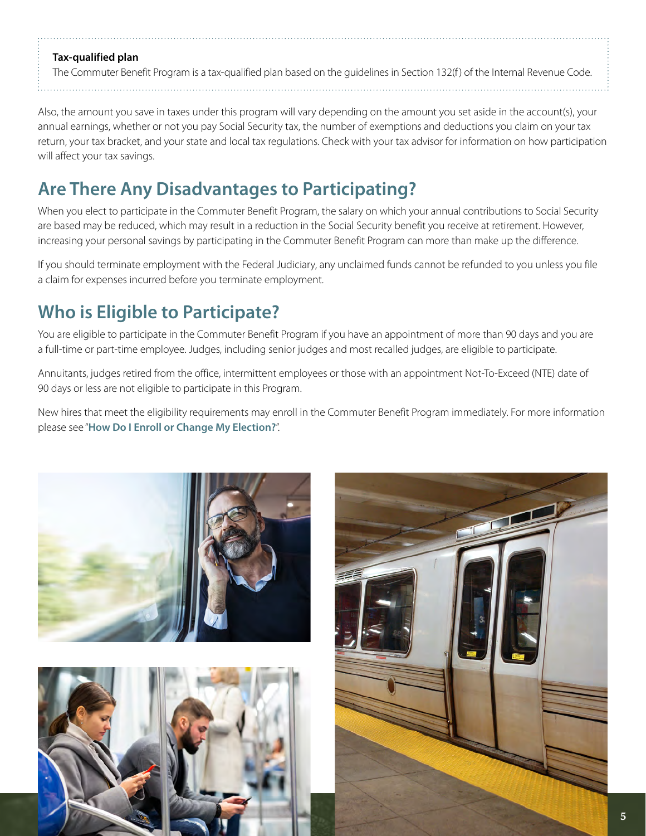### <span id="page-4-0"></span>**Tax-qualified plan**

The Commuter Benefit Program is a tax-qualified plan based on the guidelines in Section 132(f ) of the Internal Revenue Code.

Also, the amount you save in taxes under this program will vary depending on the amount you set aside in the account(s), your annual earnings, whether or not you pay Social Security tax, the number of exemptions and deductions you claim on your tax return, your tax bracket, and your state and local tax regulations. Check with your tax advisor for information on how participation will affect your tax savings.

# **Are There Any Disadvantages to Participating?**

When you elect to participate in the Commuter Benefit Program, the salary on which your annual contributions to Social Security are based may be reduced, which may result in a reduction in the Social Security benefit you receive at retirement. However, increasing your personal savings by participating in the Commuter Benefit Program can more than make up the difference.

If you should terminate employment with the Federal Judiciary, any unclaimed funds cannot be refunded to you unless you file a claim for expenses incurred before you terminate employment.

# **Who is Eligible to Participate?**

You are eligible to participate in the Commuter Benefit Program if you have an appointment of more than 90 days and you are a full-time or part-time employee. Judges, including senior judges and most recalled judges, are eligible to participate.

Annuitants, judges retired from the office, intermittent employees or those with an appointment Not-To-Exceed (NTE) date of 90 days or less are not eligible to participate in this Program.

New hires that meet the eligibility requirements may enroll in the Commuter Benefit Program immediately. For more information please see "**[How Do I Enroll or Change My Election?](#page-5-0)**".





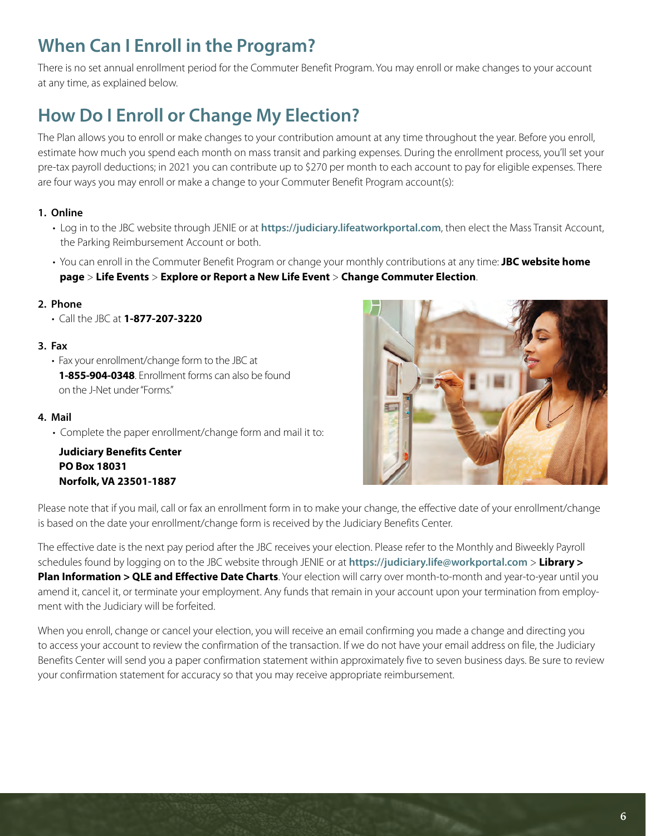# <span id="page-5-0"></span>**When Can I Enroll in the Program?**

There is no set annual enrollment period for the Commuter Benefit Program. You may enroll or make changes to your account at any time, as explained below.

# **How Do I Enroll or Change My Election?**

The Plan allows you to enroll or make changes to your contribution amount at any time throughout the year. Before you enroll, estimate how much you spend each month on mass transit and parking expenses. During the enrollment process, you'll set your pre-tax payroll deductions; in 2021 you can contribute up to \$270 per month to each account to pay for eligible expenses. There are four ways you may enroll or make a change to your Commuter Benefit Program account(s):

### **1. Online**

- Log in to the JBC website through JENIE or at **<https://judiciary.lifeatworkportal.com>**, then elect the Mass Transit Account, the Parking Reimbursement Account or both.
- You can enroll in the Commuter Benefit Program or change your monthly contributions at any time: **JBC website home page** > **Life Events** > **Explore or Report a New Life Event** > **Change Commuter Election**.

### **2. Phone**

• Call the JBC at **1-877-207-3220**

### **3. Fax**

• Fax your enrollment/change form to the JBC at **1-855-904-0348**. Enrollment forms can also be found on the J-Net under "Forms."

### **4. Mail**

• Complete the paper enrollment/change form and mail it to:

**Judiciary Benefits Center PO Box 18031 Norfolk, VA 23501-1887**



Please note that if you mail, call or fax an enrollment form in to make your change, the effective date of your enrollment/change is based on the date your enrollment/change form is received by the Judiciary Benefits Center.

The effective date is the next pay period after the JBC receives your election. Please refer to the Monthly and Biweekly Payroll schedules found by logging on to the JBC website through JENIE or at **<https://judiciary.life@workportal.com>** > **Library > Plan Information > QLE and Effective Date Charts**. Your election will carry over month-to-month and year-to-year until you amend it, cancel it, or terminate your employment. Any funds that remain in your account upon your termination from employment with the Judiciary will be forfeited.

When you enroll, change or cancel your election, you will receive an email confirming you made a change and directing you to access your account to review the confirmation of the transaction. If we do not have your email address on file, the Judiciary Benefits Center will send you a paper confirmation statement within approximately five to seven business days. Be sure to review your confirmation statement for accuracy so that you may receive appropriate reimbursement.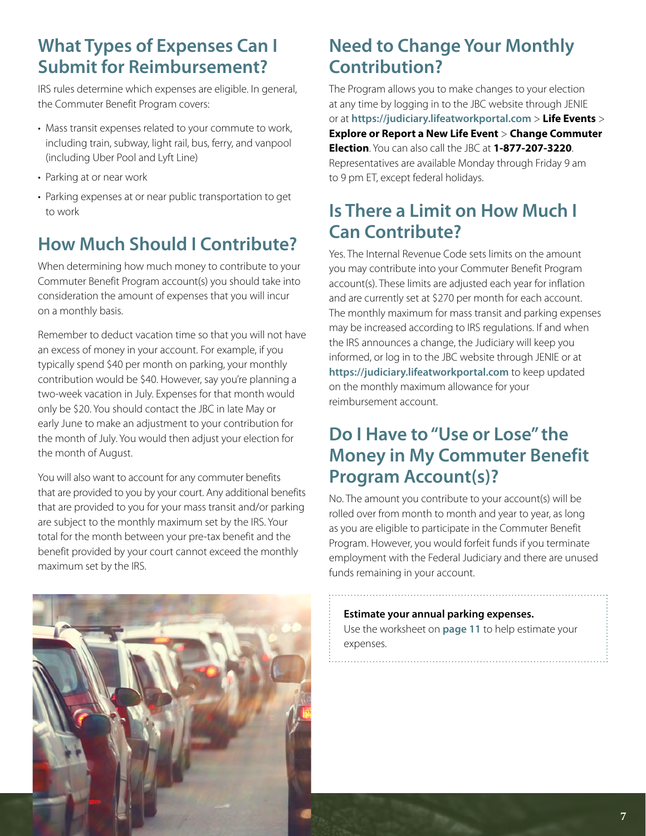# <span id="page-6-0"></span>**What Types of Expenses Can I Submit for Reimbursement?**

IRS rules determine which expenses are eligible. In general, the Commuter Benefit Program covers:

- Mass transit expenses related to your commute to work, including train, subway, light rail, bus, ferry, and vanpool (including Uber Pool and Lyft Line)
- Parking at or near work
- Parking expenses at or near public transportation to get to work

# **How Much Should I Contribute?**

When determining how much money to contribute to your Commuter Benefit Program account(s) you should take into consideration the amount of expenses that you will incur on a monthly basis.

Remember to deduct vacation time so that you will not have an excess of money in your account. For example, if you typically spend \$40 per month on parking, your monthly contribution would be \$40. However, say you're planning a two-week vacation in July. Expenses for that month would only be \$20. You should contact the JBC in late May or early June to make an adjustment to your contribution for the month of July. You would then adjust your election for the month of August.

You will also want to account for any commuter benefits that are provided to you by your court. Any additional benefits that are provided to you for your mass transit and/or parking are subject to the monthly maximum set by the IRS. Your total for the month between your pre-tax benefit and the benefit provided by your court cannot exceed the monthly maximum set by the IRS.



# **Need to Change Your Monthly Contribution?**

The Program allows you to make changes to your election at any time by logging in to the JBC website through JENIE or at **<https://judiciary.lifeatworkportal.com>** > **Life Events** > **Explore or Report a New Life Event** > **Change Commuter Election**. You can also call the JBC at **1-877-207-3220**. Representatives are available Monday through Friday 9 am to 9 pm ET, except federal holidays.

# **Is There a Limit on How Much I Can Contribute?**

Yes. The Internal Revenue Code sets limits on the amount you may contribute into your Commuter Benefit Program account(s). These limits are adjusted each year for inflation and are currently set at \$270 per month for each account. The monthly maximum for mass transit and parking expenses may be increased according to IRS regulations. If and when the IRS announces a change, the Judiciary will keep you informed, or log in to the JBC website through JENIE or at **<https://judiciary.lifeatworkportal.com>** to keep updated on the monthly maximum allowance for your reimbursement account.

# **Do I Have to "Use or Lose" the Money in My Commuter Benefit Program Account(s)?**

No. The amount you contribute to your account(s) will be rolled over from month to month and year to year, as long as you are eligible to participate in the Commuter Benefit Program. However, you would forfeit funds if you terminate employment with the Federal Judiciary and there are unused funds remaining in your account.

### **Estimate your annual parking expenses.**

Use the worksheet on **[page 1](#page-10-0)1** to help estimate your expenses.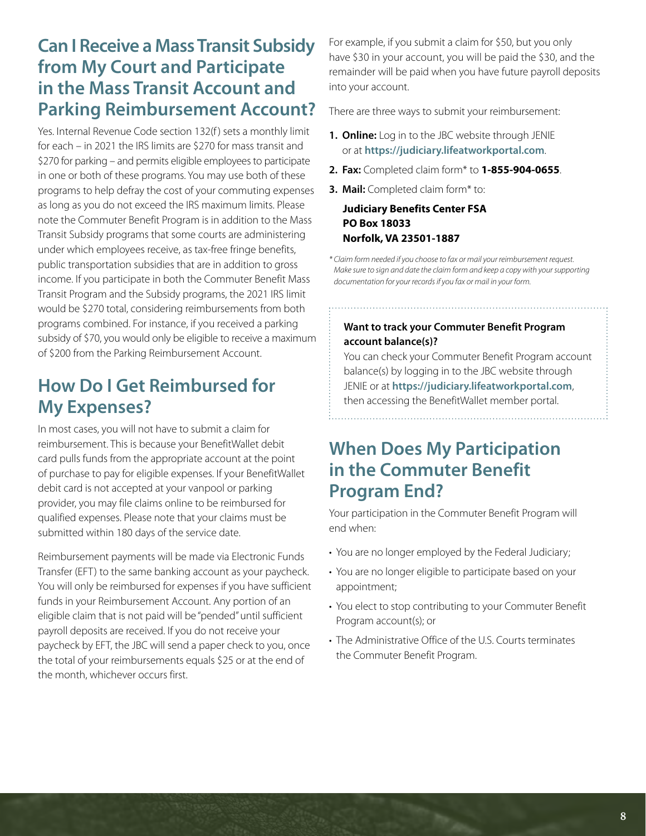# <span id="page-7-0"></span>**Can I Receive a Mass Transit Subsidy from My Court and Participate in the Mass Transit Account and Parking Reimbursement Account?**

Yes. Internal Revenue Code section 132(f) sets a monthly limit for each – in 2021 the IRS limits are \$270 for mass transit and \$270 for parking – and permits eligible employees to participate in one or both of these programs. You may use both of these programs to help defray the cost of your commuting expenses as long as you do not exceed the IRS maximum limits. Please note the Commuter Benefit Program is in addition to the Mass Transit Subsidy programs that some courts are administering under which employees receive, as tax-free fringe benefits, public transportation subsidies that are in addition to gross income. If you participate in both the Commuter Benefit Mass Transit Program and the Subsidy programs, the 2021 IRS limit would be \$270 total, considering reimbursements from both programs combined. For instance, if you received a parking subsidy of \$70, you would only be eligible to receive a maximum of \$200 from the Parking Reimbursement Account.

# **How Do I Get Reimbursed for My Expenses?**

In most cases, you will not have to submit a claim for reimbursement. This is because your BenefitWallet debit card pulls funds from the appropriate account at the point of purchase to pay for eligible expenses. If your BenefitWallet debit card is not accepted at your vanpool or parking provider, you may file claims online to be reimbursed for qualified expenses. Please note that your claims must be submitted within 180 days of the service date.

Reimbursement payments will be made via Electronic Funds Transfer (EFT) to the same banking account as your paycheck. You will only be reimbursed for expenses if you have sufficient funds in your Reimbursement Account. Any portion of an eligible claim that is not paid will be "pended" until sufficient payroll deposits are received. If you do not receive your paycheck by EFT, the JBC will send a paper check to you, once the total of your reimbursements equals \$25 or at the end of the month, whichever occurs first.

For example, if you submit a claim for \$50, but you only have \$30 in your account, you will be paid the \$30, and the remainder will be paid when you have future payroll deposits into your account.

There are three ways to submit your reimbursement:

- **1. Online:** Log in to the JBC website through JENIE or at **<https://judiciary.lifeatworkportal.com>**.
- **2. Fax:** Completed claim form\* to **1-855-904-0655**.
- **3. Mail:** Completed claim form\* to:

### **Judiciary Benefits Center FSA PO Box 18033 Norfolk, VA 23501-1887**

*\* Claim form needed if you choose to fax or mail your reimbursement request. Make sure to sign and date the claim form and keep a copy with your supporting documentation for your records if you fax or mail in your form.*

### **Want to track your Commuter Benefit Program account balance(s)?**

You can check your Commuter Benefit Program account balance(s) by logging in to the JBC website through JENIE or at **<https://judiciary.lifeatworkportal.com>**, then accessing the BenefitWallet member portal.

## **When Does My Participation in the Commuter Benefit Program End?**

Your participation in the Commuter Benefit Program will end when:

- You are no longer employed by the Federal Judiciary;
- You are no longer eligible to participate based on your appointment;
- You elect to stop contributing to your Commuter Benefit Program account(s); or
- The Administrative Office of the U.S. Courts terminates the Commuter Benefit Program.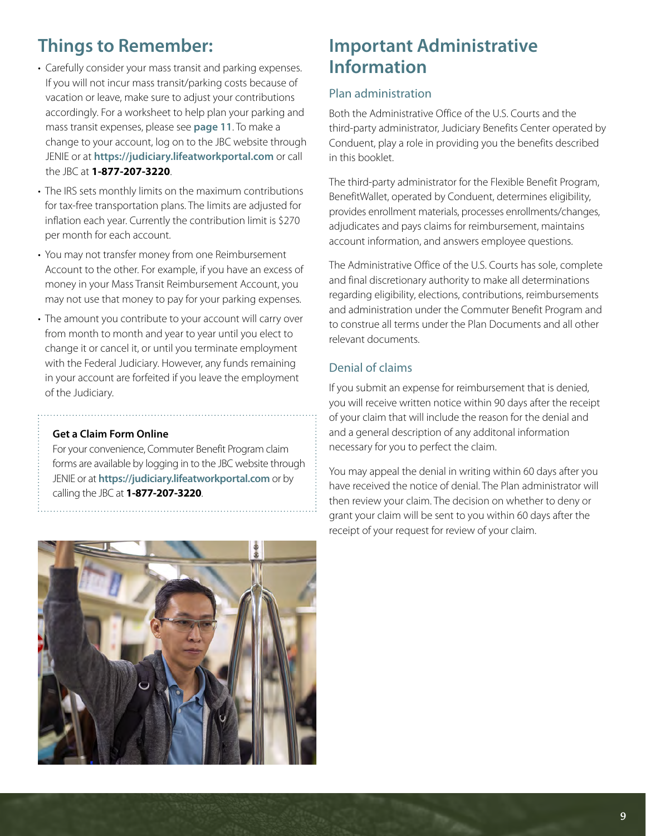# <span id="page-8-0"></span>**Things to Remember:**

- Carefully consider your mass transit and parking expenses. If you will not incur mass transit/parking costs because of vacation or leave, make sure to adjust your contributions accordingly. For a worksheet to help plan your parking and mass transit expenses, please see **[page 11](#page-10-0)**. To make a change to your account, log on to the JBC website through JENIE or at **<https://judiciary.lifeatworkportal.com>** or call the JBC at **1-877-207-3220**.
- The IRS sets monthly limits on the maximum contributions for tax-free transportation plans. The limits are adjusted for inflation each year. Currently the contribution limit is \$270 per month for each account.
- You may not transfer money from one Reimbursement Account to the other. For example, if you have an excess of money in your Mass Transit Reimbursement Account, you may not use that money to pay for your parking expenses.
- The amount you contribute to your account will carry over from month to month and year to year until you elect to change it or cancel it, or until you terminate employment with the Federal Judiciary. However, any funds remaining in your account are forfeited if you leave the employment of the Judiciary.

#### **Get a Claim Form Online**

For your convenience, Commuter Benefit Program claim forms are available by logging in to the JBC website through JENIE or at **<https://judiciary.lifeatworkportal.com>** or by calling the JBC at **1-877-207-3220**.



# **Important Administrative Information**

### Plan administration

Both the Administrative Office of the U.S. Courts and the third-party administrator, Judiciary Benefits Center operated by Conduent, play a role in providing you the benefits described in this booklet.

The third-party administrator for the Flexible Benefit Program, BenefitWallet, operated by Conduent, determines eligibility, provides enrollment materials, processes enrollments/changes, adjudicates and pays claims for reimbursement, maintains account information, and answers employee questions.

The Administrative Office of the U.S. Courts has sole, complete and final discretionary authority to make all determinations regarding eligibility, elections, contributions, reimbursements and administration under the Commuter Benefit Program and to construe all terms under the Plan Documents and all other relevant documents.

### Denial of claims

If you submit an expense for reimbursement that is denied, you will receive written notice within 90 days after the receipt of your claim that will include the reason for the denial and and a general description of any additonal information necessary for you to perfect the claim.

You may appeal the denial in writing within 60 days after you have received the notice of denial. The Plan administrator will then review your claim. The decision on whether to deny or grant your claim will be sent to you within 60 days after the receipt of your request for review of your claim.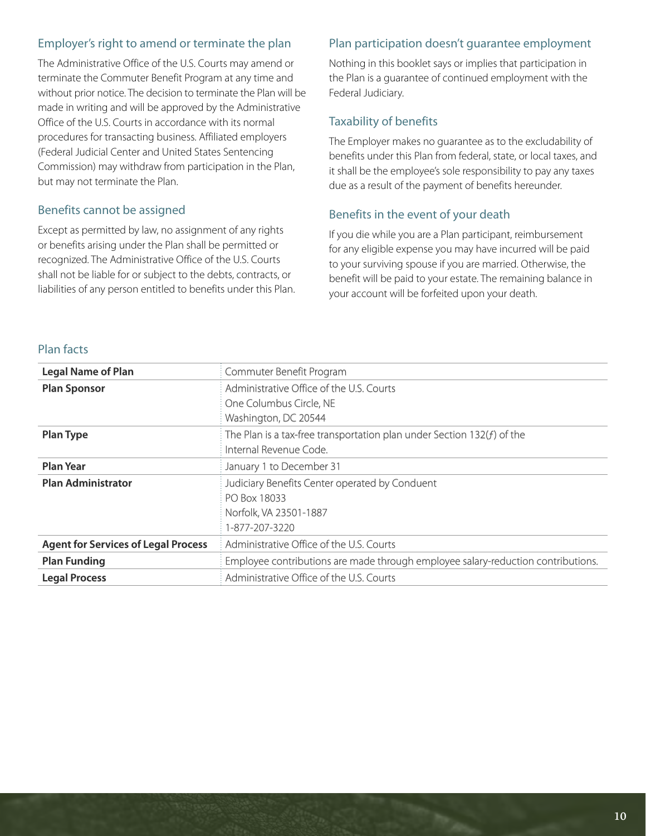### <span id="page-9-0"></span>Employer's right to amend or terminate the plan

The Administrative Office of the U.S. Courts may amend or terminate the Commuter Benefit Program at any time and without prior notice. The decision to terminate the Plan will be made in writing and will be approved by the Administrative Office of the U.S. Courts in accordance with its normal procedures for transacting business. Affiliated employers (Federal Judicial Center and United States Sentencing Commission) may withdraw from participation in the Plan, but may not terminate the Plan.

#### Benefits cannot be assigned

Except as permitted by law, no assignment of any rights or benefits arising under the Plan shall be permitted or recognized. The Administrative Office of the U.S. Courts shall not be liable for or subject to the debts, contracts, or liabilities of any person entitled to benefits under this Plan.

### Plan participation doesn't guarantee employment

Nothing in this booklet says or implies that participation in the Plan is a guarantee of continued employment with the Federal Judiciary.

### Taxability of benefits

The Employer makes no guarantee as to the excludability of benefits under this Plan from federal, state, or local taxes, and it shall be the employee's sole responsibility to pay any taxes due as a result of the payment of benefits hereunder.

#### Benefits in the event of your death

If you die while you are a Plan participant, reimbursement for any eligible expense you may have incurred will be paid to your surviving spouse if you are married. Otherwise, the benefit will be paid to your estate. The remaining balance in your account will be forfeited upon your death.

### Plan facts

| <b>Legal Name of Plan</b>                  | Commuter Benefit Program                                                         |
|--------------------------------------------|----------------------------------------------------------------------------------|
| <b>Plan Sponsor</b>                        | Administrative Office of the U.S. Courts                                         |
|                                            | One Columbus Circle, NE                                                          |
|                                            | Washington, DC 20544                                                             |
| <b>Plan Type</b>                           | The Plan is a tax-free transportation plan under Section $132(f)$ of the         |
|                                            | Internal Revenue Code.                                                           |
| <b>Plan Year</b>                           | January 1 to December 31                                                         |
| <b>Plan Administrator</b>                  | Judiciary Benefits Center operated by Conduent                                   |
|                                            | PO Box 18033                                                                     |
|                                            | Norfolk, VA 23501-1887                                                           |
|                                            | 1-877-207-3220                                                                   |
| <b>Agent for Services of Legal Process</b> | Administrative Office of the U.S. Courts                                         |
| <b>Plan Funding</b>                        | Employee contributions are made through employee salary-reduction contributions. |
| <b>Legal Process</b>                       | Administrative Office of the U.S. Courts                                         |